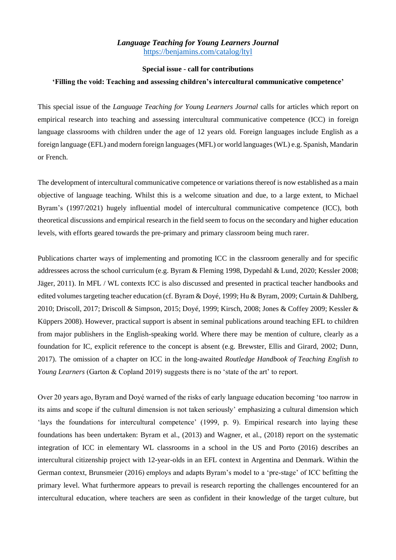# *Language Teaching for Young Learners Journal* <https://benjamins.com/catalog/ltyl>

#### **Special issue - call for contributions**

#### **'Filling the void: Teaching and assessing children's intercultural communicative competence'**

This special issue of the *Language Teaching for Young Learners Journal* calls for articles which report on empirical research into teaching and assessing intercultural communicative competence (ICC) in foreign language classrooms with children under the age of 12 years old. Foreign languages include English as a foreign language (EFL) and modern foreign languages (MFL) or world languages (WL) e.g. Spanish, Mandarin or French.

The development of intercultural communicative competence or variations thereof is now established as a main objective of language teaching. Whilst this is a welcome situation and due, to a large extent, to Michael Byram's (1997/2021) hugely influential model of intercultural communicative competence (ICC), both theoretical discussions and empirical research in the field seem to focus on the secondary and higher education levels, with efforts geared towards the pre-primary and primary classroom being much rarer.

Publications charter ways of implementing and promoting ICC in the classroom generally and for specific addressees across the school curriculum (e.g. Byram & Fleming 1998, Dypedahl & Lund, 2020; Kessler 2008; Jäger, 2011). In MFL / WL contexts ICC is also discussed and presented in practical teacher handbooks and edited volumes targeting teacher education (cf. Byram & Doyé, 1999; Hu & Byram, 2009; Curtain & Dahlberg, 2010; Driscoll, 2017; Driscoll & Simpson, 2015; Doyé, 1999; Kirsch, 2008; Jones & Coffey 2009; Kessler & Küppers 2008). However, practical support is absent in seminal publications around teaching EFL to children from major publishers in the English-speaking world. Where there may be mention of culture, clearly as a foundation for IC, explicit reference to the concept is absent (e.g. Brewster, Ellis and Girard, 2002; Dunn, 2017). The omission of a chapter on ICC in the long-awaited *Routledge Handbook of Teaching English to Young Learners* (Garton & Copland 2019) suggests there is no 'state of the art' to report.

Over 20 years ago, Byram and Doyé warned of the risks of early language education becoming 'too narrow in its aims and scope if the cultural dimension is not taken seriously' emphasizing a cultural dimension which 'lays the foundations for intercultural competence' (1999, p. 9). Empirical research into laying these foundations has been undertaken: Byram et al., (2013) and Wagner, et al., (2018) report on the systematic integration of ICC in elementary WL classrooms in a school in the US and Porto (2016) describes an intercultural citizenship project with 12-year-olds in an EFL context in Argentina and Denmark. Within the German context, Brunsmeier (2016) employs and adapts Byram's model to a 'pre-stage' of ICC befitting the primary level. What furthermore appears to prevail is research reporting the challenges encountered for an intercultural education, where teachers are seen as confident in their knowledge of the target culture, but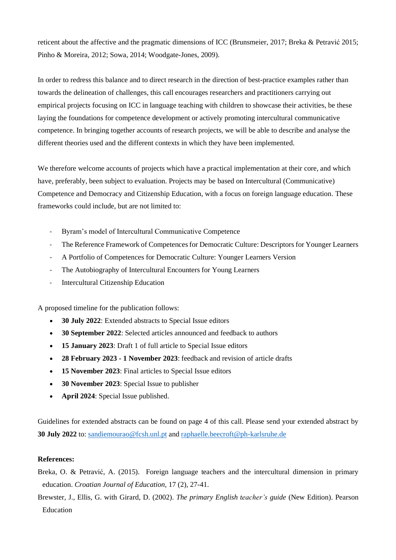reticent about the affective and the pragmatic dimensions of ICC (Brunsmeier, 2017; Breka & Petravić 2015; Pinho & Moreira, 2012; Sowa, 2014; Woodgate-Jones, 2009).

In order to redress this balance and to direct research in the direction of best-practice examples rather than towards the delineation of challenges, this call encourages researchers and practitioners carrying out empirical projects focusing on ICC in language teaching with children to showcase their activities, be these laying the foundations for competence development or actively promoting intercultural communicative competence. In bringing together accounts of research projects, we will be able to describe and analyse the different theories used and the different contexts in which they have been implemented.

We therefore welcome accounts of projects which have a practical implementation at their core, and which have, preferably, been subject to evaluation. Projects may be based on Intercultural (Communicative) Competence and Democracy and Citizenship Education, with a focus on foreign language education. These frameworks could include, but are not limited to:

- Byram's model of Intercultural Communicative Competence
- The Reference Framework of Competences for Democratic Culture: Descriptors for Younger Learners
- A Portfolio of Competences for Democratic Culture: Younger Learners Version
- The Autobiography of Intercultural Encounters for Young Learners
- Intercultural Citizenship Education

A proposed timeline for the publication follows:

- **30 July 2022**: Extended abstracts to Special Issue editors
- **30 September 2022**: Selected articles announced and feedback to authors
- **15 January 2023**: Draft 1 of full article to Special Issue editors
- **28 February 2023 - 1 November 2023**: feedback and revision of article drafts
- **15 November 2023**: Final articles to Special Issue editors
- **30 November 2023**: Special Issue to publisher
- **April 2024**: Special Issue published.

Guidelines for extended abstracts can be found on page 4 of this call. Please send your extended abstract by **30 July 2022** to: [sandiemourao@fcsh.unl.pt](mailto:sandiemourao@fcsh.unl.pt) and [raphaelle.beecroft@ph-karlsruhe.de](mailto:raphaelle.beecroft@ph-karlsruhe.de)

#### **References:**

- Breka, O. & Petravić, A. (2015). Foreign language teachers and the intercultural dimension in primary education. *Croatian Journal of Education,* 17 (2), 27-41.
- Brewster, J., Ellis, G. with Girard, D. (2002). *The primary English teacher's guide* (New Edition). Pearson Education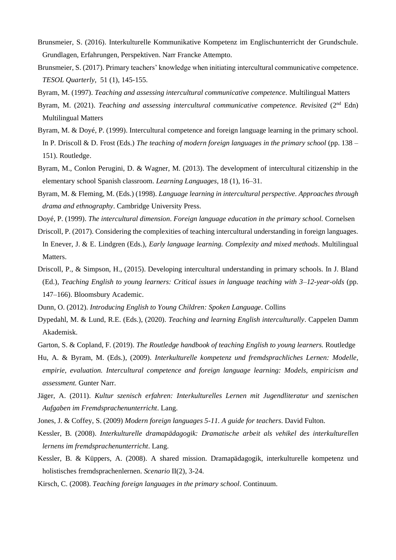- Brunsmeier, S. (2016). Interkulturelle Kommunikative Kompetenz im Englischunterricht der Grundschule. Grundlagen, Erfahrungen, Perspektiven. Narr Francke Attempto.
- Brunsmeier, S. (2017). Primary teachers' knowledge when initiating intercultural communicative competence. *TESOL Quarterly,* 51 (1), 145-155.
- Byram, M. (1997). *Teaching and assessing intercultural communicative competence.* Multilingual Matters
- Byram, M. (2021). *Teaching and assessing intercultural communicative competence. Revisited* (2<sup>nd</sup> Edn) Multilingual Matters
- Byram, M. & Doyé, P. (1999). Intercultural competence and foreign language learning in the primary school. In P. Driscoll & D. Frost (Eds.) *The teaching of modern foreign languages in the primary school* (pp. 138 – 151). Routledge.
- Byram, M., Conlon Perugini, D. & Wagner, M. (2013). The development of intercultural citizenship in the elementary school Spanish classroom. *Learning Languages*, 18 (1), 16–31.
- Byram, M. & Fleming, M. (Eds.) (1998). *Language learning in intercultural perspective. Approaches through drama and ethnography*. Cambridge University Press.
- Doyé, P. (1999). *The intercultural dimension*. *Foreign language education in the primary school.* Cornelsen
- Driscoll, P. (2017). Considering the complexities of teaching intercultural understanding in foreign languages. In Enever, J. & E. Lindgren (Eds.), *Early language learning. Complexity and mixed methods*. Multilingual Matters.
- Driscoll, P., & Simpson, H., (2015). Developing intercultural understanding in primary schools. In J. Bland (Ed.), *Teaching English to young learners: Critical issues in language teaching with 3–12-year-olds* (pp. 147–166). Bloomsbury Academic.
- Dunn, O. (2012). *Introducing English to Young Children: Spoken Language*. Collins
- Dypedahl, M. & Lund, R.E. (Eds.), (2020). *Teaching and learning English interculturally*. Cappelen Damm Akademisk.
- Garton, S. & Copland, F. (2019). *The Routledge handbook of teaching English to young learners.* Routledge
- Hu, A. & Byram, M. (Eds.), (2009). *Interkulturelle kompetenz und fremdsprachliches Lernen: Modelle, empirie, evaluation. Intercultural competence and foreign language learning: Models, empiricism and assessment.* Gunter Narr.
- Jäger, A. (2011). *Kultur szenisch erfahren: Interkulturelles Lernen mit Jugendliteratur und szenischen Aufgaben im Fremdsprachenunterricht*. Lang.
- Jones, J. & Coffey, S. (2009) *Modern foreign languages 5-11. A guide for teachers*. David Fulton.
- Kessler, B. (2008). *Interkulturelle dramapädagogik: Dramatische arbeit als vehikel des interkulturellen lernens im fremdsprachenunterricht*. Lang.
- Kessler, B. & Küppers, A. (2008). A shared mission. Dramapädagogik, interkulturelle kompetenz und holistisches fremdsprachenlernen. *Scenario* II(2), 3-24.
- Kirsch, C. (2008). *Teaching foreign languages in the primary school*. Continuum.